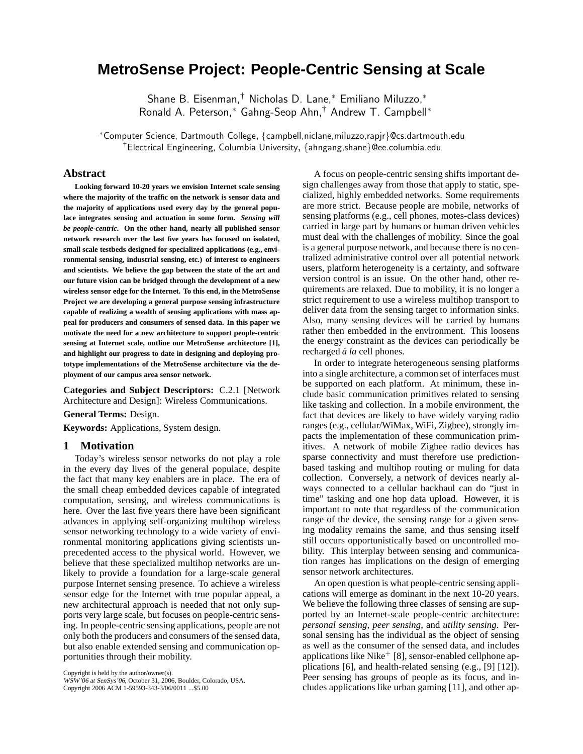# **MetroSense Project: People-Centric Sensing at Scale**

Shane B. Eisenman,† Nicholas D. Lane,<sup>∗</sup> Emiliano Miluzzo,<sup>∗</sup> Ronald A. Peterson,<sup>∗</sup> Gahng-Seop Ahn,† Andrew T. Campbell<sup>∗</sup>

<sup>∗</sup>Computer Science, Dartmouth College, {campbell,niclane,miluzzo,rapjr}@cs.dartmouth.edu †Electrical Engineering, Columbia University, {ahngang,shane}@ee.columbia.edu

# **Abstract**

**Looking forward 10-20 years we envision Internet scale sensing where the majority of the traffic on the network is sensor data and the majority of applications used every day by the general populace integrates sensing and actuation in some form.** *Sensing will be people-centric***. On the other hand, nearly all published sensor network research over the last five years has focused on isolated, small scale testbeds designed for specialized applications (e.g., environmental sensing, industrial sensing, etc.) of interest to engineers and scientists. We believe the gap between the state of the art and our future vision can be bridged through the development of a new wireless sensor edge for the Internet. To this end, in the MetroSense Project we are developing a general purpose sensing infrastructure capable of realizing a wealth of sensing applications with mass appeal for producers and consumers of sensed data. In this paper we motivate the need for a new architecture to support people-centric sensing at Internet scale, outline our MetroSense architecture [1], and highlight our progress to date in designing and deploying prototype implementations of the MetroSense architecture via the deployment of our campus area sensor network.**

**Categories and Subject Descriptors:** C.2.1 [Network Architecture and Design]: Wireless Communications.

**General Terms:** Design.

**Keywords:** Applications, System design.

# **1 Motivation**

Today's wireless sensor networks do not play a role in the every day lives of the general populace, despite the fact that many key enablers are in place. The era of the small cheap embedded devices capable of integrated computation, sensing, and wireless communications is here. Over the last five years there have been significant advances in applying self-organizing multihop wireless sensor networking technology to a wide variety of environmental monitoring applications giving scientists unprecedented access to the physical world. However, we believe that these specialized multihop networks are unlikely to provide a foundation for a large-scale general purpose Internet sensing presence. To achieve a wireless sensor edge for the Internet with true popular appeal, a new architectural approach is needed that not only supports very large scale, but focuses on people-centric sensing. In people-centric sensing applications, people are not only both the producers and consumers of the sensed data, but also enable extended sensing and communication opportunities through their mobility.

Copyright is held by the author/owner(s).

WSW'06 at SenSys'06, October 31, 2006, Boulder, Colorado, USA.

Copyright 2006 ACM 1-59593-343-3/06/0011 ...\$5.00

A focus on people-centric sensing shifts important design challenges away from those that apply to static, specialized, highly embedded networks. Some requirements are more strict. Because people are mobile, networks of sensing platforms (e.g., cell phones, motes-class devices) carried in large part by humans or human driven vehicles must deal with the challenges of mobility. Since the goal is a general purpose network, and because there is no centralized administrative control over all potential network users, platform heterogeneity is a certainty, and software version control is an issue. On the other hand, other requirements are relaxed. Due to mobility, it is no longer a strict requirement to use a wireless multihop transport to deliver data from the sensing target to information sinks. Also, many sensing devices will be carried by humans rather then embedded in the environment. This loosens the energy constraint as the devices can periodically be recharged *á la* cell phones.

In order to integrate heterogeneous sensing platforms into a single architecture, a common set of interfaces must be supported on each platform. At minimum, these include basic communication primitives related to sensing like tasking and collection. In a mobile environment, the fact that devices are likely to have widely varying radio ranges (e.g., cellular/WiMax, WiFi, Zigbee), strongly impacts the implementation of these communication primitives. A network of mobile Zigbee radio devices has sparse connectivity and must therefore use predictionbased tasking and multihop routing or muling for data collection. Conversely, a network of devices nearly always connected to a cellular backhaul can do "just in time" tasking and one hop data upload. However, it is important to note that regardless of the communication range of the device, the sensing range for a given sensing modality remains the same, and thus sensing itself still occurs opportunistically based on uncontrolled mobility. This interplay between sensing and communication ranges has implications on the design of emerging sensor network architectures.

An open question is what people-centric sensing applications will emerge as dominant in the next 10-20 years. We believe the following three classes of sensing are supported by an Internet-scale people-centric architecture: *personal sensing*, *peer sensing*, and *utility sensing*. Personal sensing has the individual as the object of sensing as well as the consumer of the sensed data, and includes applications like Nike<sup>+</sup> [8], sensor-enabled cellphone applications [6], and health-related sensing (e.g., [9] [12]). Peer sensing has groups of people as its focus, and includes applications like urban gaming [11], and other ap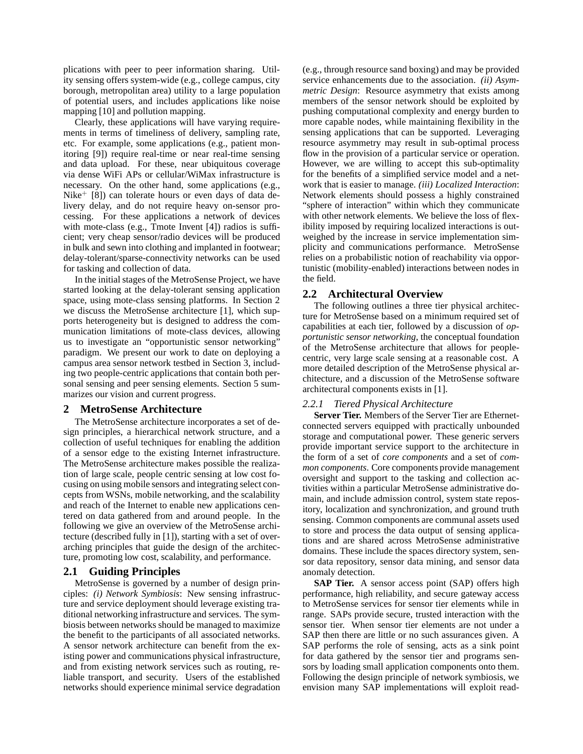plications with peer to peer information sharing. Utility sensing offers system-wide (e.g., college campus, city borough, metropolitan area) utility to a large population of potential users, and includes applications like noise mapping [10] and pollution mapping.

Clearly, these applications will have varying requirements in terms of timeliness of delivery, sampling rate, etc. For example, some applications (e.g., patient monitoring [9]) require real-time or near real-time sensing and data upload. For these, near ubiquitous coverage via dense WiFi APs or cellular/WiMax infrastructure is necessary. On the other hand, some applications (e.g., Nike<sup>+</sup> [8]) can tolerate hours or even days of data delivery delay, and do not require heavy on-sensor processing. For these applications a network of devices with mote-class (e.g., Tmote Invent [4]) radios is sufficient; very cheap sensor/radio devices will be produced in bulk and sewn into clothing and implanted in footwear; delay-tolerant/sparse-connectivity networks can be used for tasking and collection of data.

In the initial stages of the MetroSense Project, we have started looking at the delay-tolerant sensing application space, using mote-class sensing platforms. In Section 2 we discuss the MetroSense architecture [1], which supports heterogeneity but is designed to address the communication limitations of mote-class devices, allowing us to investigate an "opportunistic sensor networking" paradigm. We present our work to date on deploying a campus area sensor network testbed in Section 3, including two people-centric applications that contain both personal sensing and peer sensing elements. Section 5 summarizes our vision and current progress.

#### **2 MetroSense Architecture**

The MetroSense architecture incorporates a set of design principles, a hierarchical network structure, and a collection of useful techniques for enabling the addition of a sensor edge to the existing Internet infrastructure. The MetroSense architecture makes possible the realization of large scale, people centric sensing at low cost focusing on using mobile sensors and integrating select concepts from WSNs, mobile networking, and the scalability and reach of the Internet to enable new applications centered on data gathered from and around people. In the following we give an overview of the MetroSense architecture (described fully in [1]), starting with a set of overarching principles that guide the design of the architecture, promoting low cost, scalability, and performance.

#### **2.1 Guiding Principles**

MetroSense is governed by a number of design principles: *(i) Network Symbiosis*: New sensing infrastructure and service deployment should leverage existing traditional networking infrastructure and services. The symbiosis between networks should be managed to maximize the benefit to the participants of all associated networks. A sensor network architecture can benefit from the existing power and communications physical infrastructure, and from existing network services such as routing, reliable transport, and security. Users of the established networks should experience minimal service degradation (e.g., through resource sand boxing) and may be provided service enhancements due to the association. *(ii) Asymmetric Design*: Resource asymmetry that exists among members of the sensor network should be exploited by pushing computational complexity and energy burden to more capable nodes, while maintaining flexibility in the sensing applications that can be supported. Leveraging resource asymmetry may result in sub-optimal process flow in the provision of a particular service or operation. However, we are willing to accept this sub-optimality for the benefits of a simplified service model and a network that is easier to manage. *(iii) Localized Interaction*: Network elements should possess a highly constrained "sphere of interaction" within which they communicate with other network elements. We believe the loss of flexibility imposed by requiring localized interactions is outweighed by the increase in service implementation simplicity and communications performance. MetroSense relies on a probabilistic notion of reachability via opportunistic (mobility-enabled) interactions between nodes in the field.

## **2.2 Architectural Overview**

The following outlines a three tier physical architecture for MetroSense based on a minimum required set of capabilities at each tier, followed by a discussion of *opportunistic sensor networking*, the conceptual foundation of the MetroSense architecture that allows for peoplecentric, very large scale sensing at a reasonable cost. A more detailed description of the MetroSense physical architecture, and a discussion of the MetroSense software architectural components exists in [1].

#### *2.2.1 Tiered Physical Architecture*

**Server Tier.** Members of the Server Tier are Ethernetconnected servers equipped with practically unbounded storage and computational power. These generic servers provide important service support to the architecture in the form of a set of *core components* and a set of *common components*. Core components provide management oversight and support to the tasking and collection activities within a particular MetroSense administrative domain, and include admission control, system state repository, localization and synchronization, and ground truth sensing. Common components are communal assets used to store and process the data output of sensing applications and are shared across MetroSense administrative domains. These include the spaces directory system, sensor data repository, sensor data mining, and sensor data anomaly detection.

**SAP Tier.** A sensor access point (SAP) offers high performance, high reliability, and secure gateway access to MetroSense services for sensor tier elements while in range. SAPs provide secure, trusted interaction with the sensor tier. When sensor tier elements are not under a SAP then there are little or no such assurances given. A SAP performs the role of sensing, acts as a sink point for data gathered by the sensor tier and programs sensors by loading small application components onto them. Following the design principle of network symbiosis, we envision many SAP implementations will exploit read-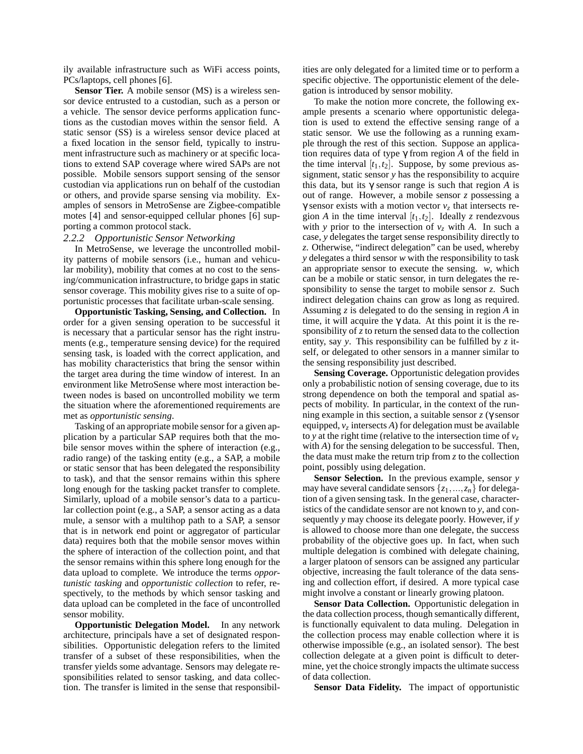ily available infrastructure such as WiFi access points, PCs/laptops, cell phones [6].

**Sensor Tier.** A mobile sensor (MS) is a wireless sensor device entrusted to a custodian, such as a person or a vehicle. The sensor device performs application functions as the custodian moves within the sensor field. A static sensor (SS) is a wireless sensor device placed at a fixed location in the sensor field, typically to instrument infrastructure such as machinery or at specific locations to extend SAP coverage where wired SAPs are not possible. Mobile sensors support sensing of the sensor custodian via applications run on behalf of the custodian or others, and provide sparse sensing via mobility. Examples of sensors in MetroSense are Zigbee-compatible motes [4] and sensor-equipped cellular phones [6] supporting a common protocol stack.

#### *2.2.2 Opportunistic Sensor Networking*

In MetroSense, we leverage the uncontrolled mobility patterns of mobile sensors (i.e., human and vehicular mobility), mobility that comes at no cost to the sensing/communication infrastructure, to bridge gaps in static sensor coverage. This mobility gives rise to a suite of opportunistic processes that facilitate urban-scale sensing.

**Opportunistic Tasking, Sensing, and Collection.** In order for a given sensing operation to be successful it is necessary that a particular sensor has the right instruments (e.g., temperature sensing device) for the required sensing task, is loaded with the correct application, and has mobility characteristics that bring the sensor within the target area during the time window of interest. In an environment like MetroSense where most interaction between nodes is based on uncontrolled mobility we term the situation where the aforementioned requirements are met as *opportunistic sensing*.

Tasking of an appropriate mobile sensor for a given application by a particular SAP requires both that the mobile sensor moves within the sphere of interaction (e.g., radio range) of the tasking entity (e.g., a SAP, a mobile or static sensor that has been delegated the responsibility to task), and that the sensor remains within this sphere long enough for the tasking packet transfer to complete. Similarly, upload of a mobile sensor's data to a particular collection point (e.g., a SAP, a sensor acting as a data mule, a sensor with a multihop path to a SAP, a sensor that is in network end point or aggregator of particular data) requires both that the mobile sensor moves within the sphere of interaction of the collection point, and that the sensor remains within this sphere long enough for the data upload to complete. We introduce the terms *opportunistic tasking* and *opportunistic collection* to refer, respectively, to the methods by which sensor tasking and data upload can be completed in the face of uncontrolled sensor mobility.

**Opportunistic Delegation Model.** In any network architecture, principals have a set of designated responsibilities. Opportunistic delegation refers to the limited transfer of a subset of these responsibilities, when the transfer yields some advantage. Sensors may delegate responsibilities related to sensor tasking, and data collection. The transfer is limited in the sense that responsibilities are only delegated for a limited time or to perform a specific objective. The opportunistic element of the delegation is introduced by sensor mobility.

To make the notion more concrete, the following example presents a scenario where opportunistic delegation is used to extend the effective sensing range of a static sensor. We use the following as a running example through the rest of this section. Suppose an application requires data of type γ from region *A* of the field in the time interval  $[t_1, t_2]$ . Suppose, by some previous assignment, static sensor *y* has the responsibility to acquire this data, but its  $\gamma$  sensor range is such that region *A* is out of range. However, a mobile sensor *z* possessing a  $\gamma$  sensor exists with a motion vector  $v_z$  that intersects region *A* in the time interval  $[t_1, t_2]$ . Ideally *z* rendezvous with *y* prior to the intersection of  $v_z$  with *A*. In such a case, *y* delegates the target sense responsibility directly to *z*. Otherwise, "indirect delegation" can be used, whereby *y* delegates a third sensor *w* with the responsibility to task an appropriate sensor to execute the sensing. *w*, which can be a mobile or static sensor, in turn delegates the responsibility to sense the target to mobile sensor *z*. Such indirect delegation chains can grow as long as required. Assuming *z* is delegated to do the sensing in region *A* in time, it will acquire the  $\gamma$  data. At this point it is the responsibility of *z* to return the sensed data to the collection entity, say *y*. This responsibility can be fulfilled by *z* itself, or delegated to other sensors in a manner similar to the sensing responsibility just described.

**Sensing Coverage.** Opportunistic delegation provides only a probabilistic notion of sensing coverage, due to its strong dependence on both the temporal and spatial aspects of mobility. In particular, in the context of the running example in this section, a suitable sensor *z* (γ sensor equipped, *v<sup>z</sup>* intersects *A*) for delegation must be available to *y* at the right time (relative to the intersection time of  $v<sub>z</sub>$ with *A*) for the sensing delegation to be successful. Then, the data must make the return trip from *z* to the collection point, possibly using delegation.

**Sensor Selection.** In the previous example, sensor *y* may have several candidate sensors  $\{z_1, ..., z_n\}$  for delegation of a given sensing task. In the general case, characteristics of the candidate sensor are not known to *y*, and consequently *y* may choose its delegate poorly. However, if *y* is allowed to choose more than one delegate, the success probability of the objective goes up. In fact, when such multiple delegation is combined with delegate chaining, a larger platoon of sensors can be assigned any particular objective, increasing the fault tolerance of the data sensing and collection effort, if desired. A more typical case might involve a constant or linearly growing platoon.

**Sensor Data Collection.** Opportunistic delegation in the data collection process, though semantically different, is functionally equivalent to data muling. Delegation in the collection process may enable collection where it is otherwise impossible (e.g., an isolated sensor). The best collection delegate at a given point is difficult to determine, yet the choice strongly impacts the ultimate success of data collection.

**Sensor Data Fidelity.** The impact of opportunistic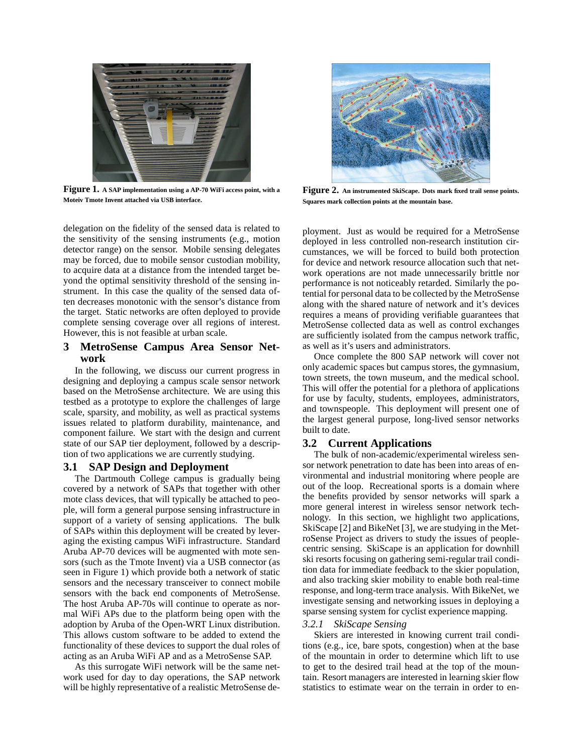

**Figure 1. A SAP implementation using a AP-70 WiFi access point, with a Moteiv Tmote Invent attached via USB interface.**

delegation on the fidelity of the sensed data is related to the sensitivity of the sensing instruments (e.g., motion detector range) on the sensor. Mobile sensing delegates may be forced, due to mobile sensor custodian mobility, to acquire data at a distance from the intended target beyond the optimal sensitivity threshold of the sensing instrument. In this case the quality of the sensed data often decreases monotonic with the sensor's distance from the target. Static networks are often deployed to provide complete sensing coverage over all regions of interest. However, this is not feasible at urban scale.

# **3 MetroSense Campus Area Sensor Network**

In the following, we discuss our current progress in designing and deploying a campus scale sensor network based on the MetroSense architecture. We are using this testbed as a prototype to explore the challenges of large scale, sparsity, and mobility, as well as practical systems issues related to platform durability, maintenance, and component failure. We start with the design and current state of our SAP tier deployment, followed by a description of two applications we are currently studying.

## **3.1 SAP Design and Deployment**

The Dartmouth College campus is gradually being covered by a network of SAPs that together with other mote class devices, that will typically be attached to people, will form a general purpose sensing infrastructure in support of a variety of sensing applications. The bulk of SAPs within this deployment will be created by leveraging the existing campus WiFi infrastructure. Standard Aruba AP-70 devices will be augmented with mote sensors (such as the Tmote Invent) via a USB connector (as seen in Figure 1) which provide both a network of static sensors and the necessary transceiver to connect mobile sensors with the back end components of MetroSense. The host Aruba AP-70s will continue to operate as normal WiFi APs due to the platform being open with the adoption by Aruba of the Open-WRT Linux distribution. This allows custom software to be added to extend the functionality of these devices to support the dual roles of acting as an Aruba WiFi AP and as a MetroSense SAP.

As this surrogate WiFi network will be the same network used for day to day operations, the SAP network will be highly representative of a realistic MetroSense de-



**Figure 2. An instrumented SkiScape. Dots mark fixed trail sense points. Squares mark collection points at the mountain base.**

ployment. Just as would be required for a MetroSense deployed in less controlled non-research institution circumstances, we will be forced to build both protection for device and network resource allocation such that network operations are not made unnecessarily brittle nor performance is not noticeably retarded. Similarly the potential for personal data to be collected by the MetroSense along with the shared nature of network and it's devices requires a means of providing verifiable guarantees that MetroSense collected data as well as control exchanges are sufficiently isolated from the campus network traffic, as well as it's users and administrators.

Once complete the 800 SAP network will cover not only academic spaces but campus stores, the gymnasium, town streets, the town museum, and the medical school. This will offer the potential for a plethora of applications for use by faculty, students, employees, administrators, and townspeople. This deployment will present one of the largest general purpose, long-lived sensor networks built to date.

# **3.2 Current Applications**

The bulk of non-academic/experimental wireless sensor network penetration to date has been into areas of environmental and industrial monitoring where people are out of the loop. Recreational sports is a domain where the benefits provided by sensor networks will spark a more general interest in wireless sensor network technology. In this section, we highlight two applications, SkiScape [2] and BikeNet [3], we are studying in the MetroSense Project as drivers to study the issues of peoplecentric sensing. SkiScape is an application for downhill ski resorts focusing on gathering semi-regular trail condition data for immediate feedback to the skier population, and also tracking skier mobility to enable both real-time response, and long-term trace analysis. With BikeNet, we investigate sensing and networking issues in deploying a sparse sensing system for cyclist experience mapping.

#### *3.2.1 SkiScape Sensing*

Skiers are interested in knowing current trail conditions (e.g., ice, bare spots, congestion) when at the base of the mountain in order to determine which lift to use to get to the desired trail head at the top of the mountain. Resort managers are interested in learning skier flow statistics to estimate wear on the terrain in order to en-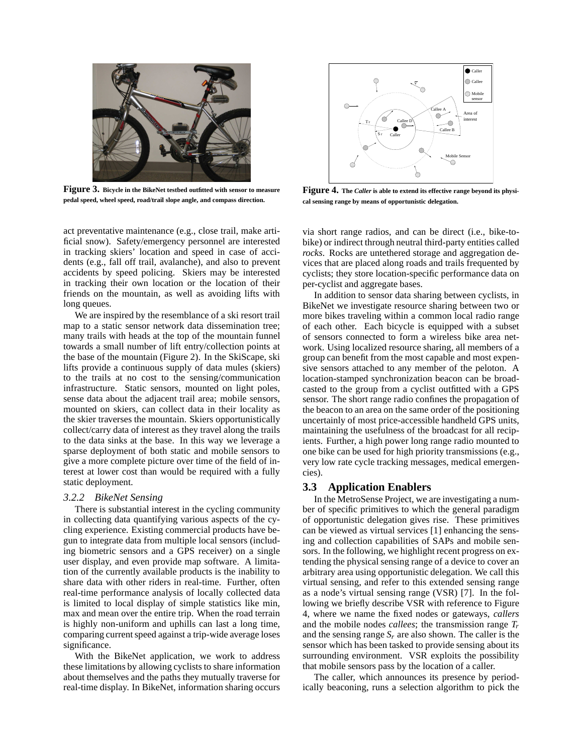

**Figure 3. Bicycle in the BikeNet testbed outfitted with sensor to measure pedal speed, wheel speed, road/trail slope angle, and compass direction.**

act preventative maintenance (e.g., close trail, make artificial snow). Safety/emergency personnel are interested in tracking skiers' location and speed in case of accidents (e.g., fall off trail, avalanche), and also to prevent accidents by speed policing. Skiers may be interested in tracking their own location or the location of their friends on the mountain, as well as avoiding lifts with long queues.

We are inspired by the resemblance of a ski resort trail map to a static sensor network data dissemination tree; many trails with heads at the top of the mountain funnel towards a small number of lift entry/collection points at the base of the mountain (Figure 2). In the SkiScape, ski lifts provide a continuous supply of data mules (skiers) to the trails at no cost to the sensing/communication infrastructure. Static sensors, mounted on light poles, sense data about the adjacent trail area; mobile sensors, mounted on skiers, can collect data in their locality as the skier traverses the mountain. Skiers opportunistically collect/carry data of interest as they travel along the trails to the data sinks at the base. In this way we leverage a sparse deployment of both static and mobile sensors to give a more complete picture over time of the field of interest at lower cost than would be required with a fully static deployment.

#### *3.2.2 BikeNet Sensing*

There is substantial interest in the cycling community in collecting data quantifying various aspects of the cycling experience. Existing commercial products have begun to integrate data from multiple local sensors (including biometric sensors and a GPS receiver) on a single user display, and even provide map software. A limitation of the currently available products is the inability to share data with other riders in real-time. Further, often real-time performance analysis of locally collected data is limited to local display of simple statistics like min, max and mean over the entire trip. When the road terrain is highly non-uniform and uphills can last a long time, comparing current speed against a trip-wide average loses significance.

With the BikeNet application, we work to address these limitations by allowing cyclists to share information about themselves and the paths they mutually traverse for real-time display. In BikeNet, information sharing occurs



**Figure 4. The** *Caller* **is able to extend its effective range beyond its physical sensing range by means of opportunistic delegation.**

via short range radios, and can be direct (i.e., bike-tobike) or indirect through neutral third-party entities called *rocks*. Rocks are untethered storage and aggregation devices that are placed along roads and trails frequented by cyclists; they store location-specific performance data on per-cyclist and aggregate bases.

In addition to sensor data sharing between cyclists, in BikeNet we investigate resource sharing between two or more bikes traveling within a common local radio range of each other. Each bicycle is equipped with a subset of sensors connected to form a wireless bike area network. Using localized resource sharing, all members of a group can benefit from the most capable and most expensive sensors attached to any member of the peloton. A location-stamped synchronization beacon can be broadcasted to the group from a cyclist outfitted with a GPS sensor. The short range radio confines the propagation of the beacon to an area on the same order of the positioning uncertainly of most price-accessible handheld GPS units, maintaining the usefulness of the broadcast for all recipients. Further, a high power long range radio mounted to one bike can be used for high priority transmissions (e.g., very low rate cycle tracking messages, medical emergencies).

# **3.3 Application Enablers**

In the MetroSense Project, we are investigating a number of specific primitives to which the general paradigm of opportunistic delegation gives rise. These primitives can be viewed as virtual services [1] enhancing the sensing and collection capabilities of SAPs and mobile sensors. In the following, we highlight recent progress on extending the physical sensing range of a device to cover an arbitrary area using opportunistic delegation. We call this virtual sensing, and refer to this extended sensing range as a node's virtual sensing range (VSR) [7]. In the following we briefly describe VSR with reference to Figure 4, where we name the fixed nodes or gateways, *callers* and the mobile nodes *callees*; the transmission range *T<sup>r</sup>* and the sensing range  $S_r$  are also shown. The caller is the sensor which has been tasked to provide sensing about its surrounding environment. VSR exploits the possibility that mobile sensors pass by the location of a caller.

The caller, which announces its presence by periodically beaconing, runs a selection algorithm to pick the